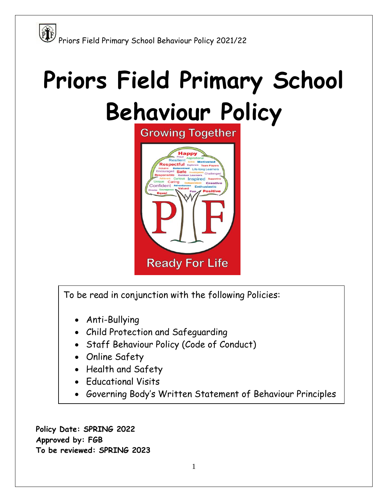# **Priors Field Primary School**

### **Behaviour Policy**



To be read in conjunction with the following Policies:

- Anti-Bullying
- Child Protection and Safeguarding
- Staff Behaviour Policy (Code of Conduct)
- Online Safety
- Health and Safety
- **•** Educational Visits
- Governing Body's Written Statement of Behaviour Principles

**Policy Date: SPRING 2022 Approved by: FGB To be reviewed: SPRING 2023**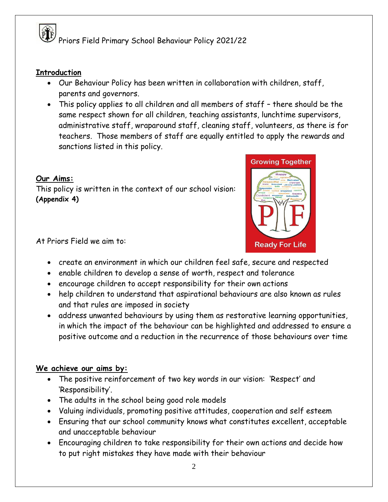#### **Introduction**

- Our Behaviour Policy has been written in collaboration with children, staff, parents and governors.
- This policy applies to all children and all members of staff there should be the same respect shown for all children, teaching assistants, lunchtime supervisors, administrative staff, wraparound staff, cleaning staff, volunteers, as there is for teachers. Those members of staff are equally entitled to apply the rewards and sanctions listed in this policy.

#### **Our Aims:**

This policy is written in the context of our school vision: **(Appendix 4)**



At Priors Field we aim to:

- create an environment in which our children feel safe, secure and respected
- enable children to develop a sense of worth, respect and tolerance
- encourage children to accept responsibility for their own actions
- help children to understand that aspirational behaviours are also known as rules and that rules are imposed in society
- address unwanted behaviours by using them as restorative learning opportunities, in which the impact of the behaviour can be highlighted and addressed to ensure a positive outcome and a reduction in the recurrence of those behaviours over time

#### **We achieve our aims by:**

- The positive reinforcement of two key words in our vision: 'Respect' and 'Responsibility'.
- The adults in the school being good role models
- Valuing individuals, promoting positive attitudes, cooperation and self esteem
- Ensuring that our school community knows what constitutes excellent, acceptable and unacceptable behaviour
- Encouraging children to take responsibility for their own actions and decide how to put right mistakes they have made with their behaviour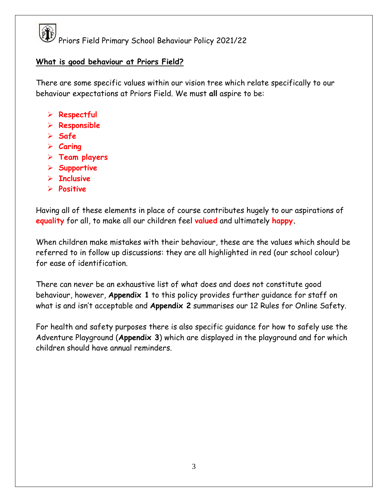#### **What is good behaviour at Priors Field?**

There are some specific values within our vision tree which relate specifically to our behaviour expectations at Priors Field. We must **all** aspire to be:

- **Respectful**
- **Responsible**
- **Safe**
- **Caring**
- **Team players**
- **Supportive**
- **Inclusive**
- **Positive**

Having all of these elements in place of course contributes hugely to our aspirations of **equality** for all, to make all our children feel **valued** and ultimately **happy.**

When children make mistakes with their behaviour, these are the values which should be referred to in follow up discussions: they are all highlighted in red (our school colour) for ease of identification.

There can never be an exhaustive list of what does and does not constitute good behaviour, however, **Appendix 1** to this policy provides further guidance for staff on what is and isn't acceptable and **Appendix 2** summarises our 12 Rules for Online Safety.

For health and safety purposes there is also specific guidance for how to safely use the Adventure Playground (**Appendix 3**) which are displayed in the playground and for which children should have annual reminders.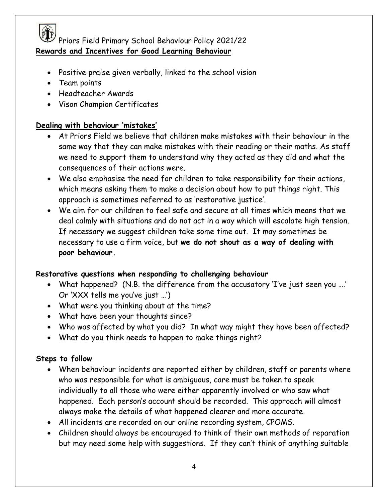

PTF<br>Priors Field Primary School Behaviour Policy 2021/22 **Rewards and Incentives for Good Learning Behaviour**

- Positive praise given verbally, linked to the school vision
- Team points
- Headteacher Awards
- Vison Champion Certificates

#### **Dealing with behaviour 'mistakes'**

- At Priors Field we believe that children make mistakes with their behaviour in the same way that they can make mistakes with their reading or their maths. As staff we need to support them to understand why they acted as they did and what the consequences of their actions were.
- We also emphasise the need for children to take responsibility for their actions, which means asking them to make a decision about how to put things right. This approach is sometimes referred to as 'restorative justice'.
- We aim for our children to feel safe and secure at all times which means that we deal calmly with situations and do not act in a way which will escalate high tension. If necessary we suggest children take some time out. It may sometimes be necessary to use a firm voice, but **we do not shout as a way of dealing with poor behaviour.**

#### **Restorative questions when responding to challenging behaviour**

- What happened? (N.B. the difference from the accusatory 'I've just seen you ….' Or 'XXX tells me you've just …')
- What were you thinking about at the time?
- What have been your thoughts since?
- Who was affected by what you did? In what way might they have been affected?
- What do you think needs to happen to make things right?

#### **Steps to follow**

- When behaviour incidents are reported either by children, staff or parents where who was responsible for what is ambiguous, care must be taken to speak individually to all those who were either apparently involved or who saw what happened. Each person's account should be recorded. This approach will almost always make the details of what happened clearer and more accurate.
- All incidents are recorded on our online recording system, CPOMS.
- Children should always be encouraged to think of their own methods of reparation but may need some help with suggestions. If they can't think of anything suitable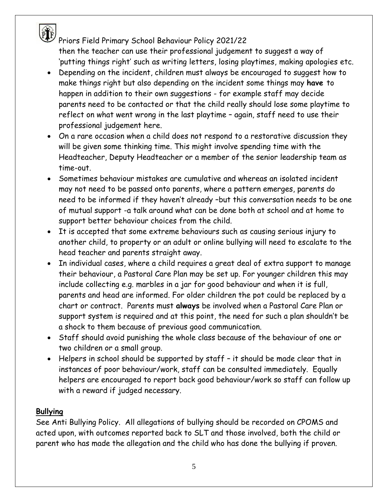PTF<br>Priors Field Primary School Behaviour Policy 2021/22 then the teacher can use their professional judgement to suggest a way of 'putting things right' such as writing letters, losing playtimes, making apologies etc.

- Depending on the incident, children must always be encouraged to suggest how to make things right but also depending on the incident some things may **have** to happen in addition to their own suggestions - for example staff may decide parents need to be contacted or that the child really should lose some playtime to reflect on what went wrong in the last playtime – again, staff need to use their professional judgement here.
- On a rare occasion when a child does not respond to a restorative discussion they will be given some thinking time. This might involve spending time with the Headteacher, Deputy Headteacher or a member of the senior leadership team as time-out.
- Sometimes behaviour mistakes are cumulative and whereas an isolated incident may not need to be passed onto parents, where a pattern emerges, parents do need to be informed if they haven't already –but this conversation needs to be one of mutual support -a talk around what can be done both at school and at home to support better behaviour choices from the child.
- It is accepted that some extreme behaviours such as causing serious injury to another child, to property or an adult or online bullying will need to escalate to the head teacher and parents straight away.
- In individual cases, where a child requires a great deal of extra support to manage their behaviour, a Pastoral Care Plan may be set up. For younger children this may include collecting e.g. marbles in a jar for good behaviour and when it is full, parents and head are informed. For older children the pot could be replaced by a chart or contract. Parents must **always** be involved when a Pastoral Care Plan or support system is required and at this point, the need for such a plan shouldn't be a shock to them because of previous good communication.
- Staff should avoid punishing the whole class because of the behaviour of one or two children or a small group.
- Helpers in school should be supported by staff it should be made clear that in instances of poor behaviour/work, staff can be consulted immediately. Equally helpers are encouraged to report back good behaviour/work so staff can follow up with a reward if judged necessary.

#### **Bullying**

See Anti Bullying Policy. All allegations of bullying should be recorded on CPOMS and acted upon, with outcomes reported back to SLT and those involved, both the child or parent who has made the allegation and the child who has done the bullying if proven.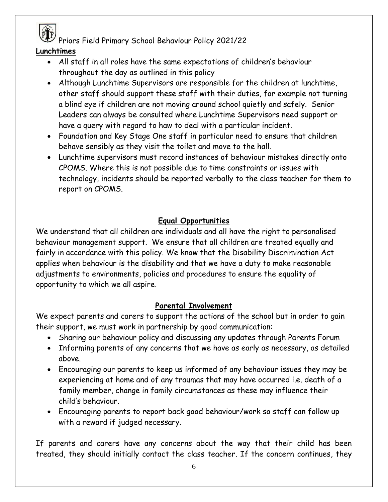

#### **Lunchtimes**

- All staff in all roles have the same expectations of children's behaviour throughout the day as outlined in this policy
- Although Lunchtime Supervisors are responsible for the children at lunchtime, other staff should support these staff with their duties, for example not turning a blind eye if children are not moving around school quietly and safely. Senior Leaders can always be consulted where Lunchtime Supervisors need support or have a query with regard to haw to deal with a particular incident.
- Foundation and Key Stage One staff in particular need to ensure that children behave sensibly as they visit the toilet and move to the hall.
- Lunchtime supervisors must record instances of behaviour mistakes directly onto CPOMS. Where this is not possible due to time constraints or issues with technology, incidents should be reported verbally to the class teacher for them to report on CPOMS.

#### **Equal Opportunities**

We understand that all children are individuals and all have the right to personalised behaviour management support. We ensure that all children are treated equally and fairly in accordance with this policy. We know that the Disability Discrimination Act applies when behaviour is the disability and that we have a duty to make reasonable adjustments to environments, policies and procedures to ensure the equality of opportunity to which we all aspire.

#### **Parental Involvement**

We expect parents and carers to support the actions of the school but in order to gain their support, we must work in partnership by good communication:

- Sharing our behaviour policy and discussing any updates through Parents Forum
- Informing parents of any concerns that we have as early as necessary, as detailed above.
- Encouraging our parents to keep us informed of any behaviour issues they may be experiencing at home and of any traumas that may have occurred i.e. death of a family member, change in family circumstances as these may influence their child's behaviour.
- Encouraging parents to report back good behaviour/work so staff can follow up with a reward if judged necessary.

If parents and carers have any concerns about the way that their child has been treated, they should initially contact the class teacher. If the concern continues, they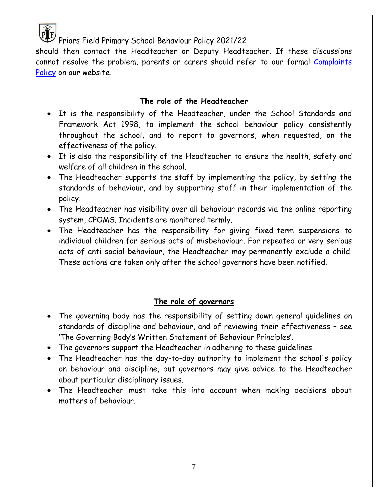

should then contact the Headteacher or Deputy Headteacher. If these discussions cannot resolve the problem, parents or carers should refer to our formal Complaints [Policy](https://e2a0126d-b06a-4cc1-8521-af8028c70877.filesusr.com/ugd/efc051_b731b47cfaa54c01bc4a70de95cbef01.pdf) on our website.

#### **The role of the Headteacher**

- It is the responsibility of the Headteacher, under the School Standards and Framework Act 1998, to implement the school behaviour policy consistently throughout the school, and to report to governors, when requested, on the effectiveness of the policy.
- It is also the responsibility of the Headteacher to ensure the health, safety and welfare of all children in the school.
- The Headteacher supports the staff by implementing the policy, by setting the standards of behaviour, and by supporting staff in their implementation of the policy.
- The Headteacher has visibility over all behaviour records via the online reporting system, CPOMS. Incidents are monitored termly.
- The Headteacher has the responsibility for giving fixed-term suspensions to individual children for serious acts of misbehaviour. For repeated or very serious acts of anti-social behaviour, the Headteacher may permanently exclude a child. These actions are taken only after the school governors have been notified.

#### **The role of governors**

- The governing body has the responsibility of setting down general guidelines on standards of discipline and behaviour, and of reviewing their effectiveness – see 'The Governing Body's Written Statement of Behaviour Principles'.
- The governors support the Headteacher in adhering to these guidelines.
- The Headteacher has the day-to-day authority to implement the school's policy on behaviour and discipline, but governors may give advice to the Headteacher about particular disciplinary issues.
- The Headteacher must take this into account when making decisions about matters of behaviour.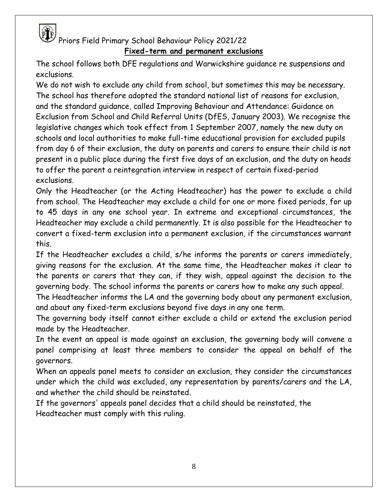### PLF<br>Priors Field Primary School Behaviour Policy 2021/22 **Fixed-term and permanent exclusions**

The school follows both DFE regulations and Warwickshire guidance re suspensions and exclusions.

We do not wish to exclude any child from school, but sometimes this may be necessary. The school has therefore adopted the standard national list of reasons for exclusion, and the standard guidance, called Improving Behaviour and Attendance: Guidance on Exclusion from School and Child Referral Units (DfES, January 2003). We recognise the legislative changes which took effect from 1 September 2007, namely the new duty on schools and local authorities to make full-time educational provision for excluded pupils from day 6 of their exclusion, the duty on parents and carers to ensure their child is not present in a public place during the first five days of an exclusion, and the duty on heads to offer the parent a reintegration interview in respect of certain fixed-period exclusions.

Only the Headteacher (or the Acting Headteacher) has the power to exclude a child from school. The Headteacher may exclude a child for one or more fixed periods, for up to 45 days in any one school year. In extreme and exceptional circumstances, the Headteacher may exclude a child permanently. It is also possible for the Headteacher to convert a fixed-term exclusion into a permanent exclusion, if the circumstances warrant this.

If the Headteacher excludes a child, s/he informs the parents or carers immediately, giving reasons for the exclusion. At the same time, the Headteacher makes it clear to the parents or carers that they can, if they wish, appeal against the decision to the governing body. The school informs the parents or carers how to make any such appeal.

The Headteacher informs the LA and the governing body about any permanent exclusion, and about any fixed-term exclusions beyond five days in any one term.

The governing body itself cannot either exclude a child or extend the exclusion period made by the Headteacher.

In the event an appeal is made against an exclusion, the governing body will convene a panel comprising at least three members to consider the appeal on behalf of the governors.

When an appeals panel meets to consider an exclusion, they consider the circumstances under which the child was excluded, any representation by parents/carers and the LA, and whether the child should be reinstated.

If the governors' appeals panel decides that a child should be reinstated, the Headteacher must comply with this ruling.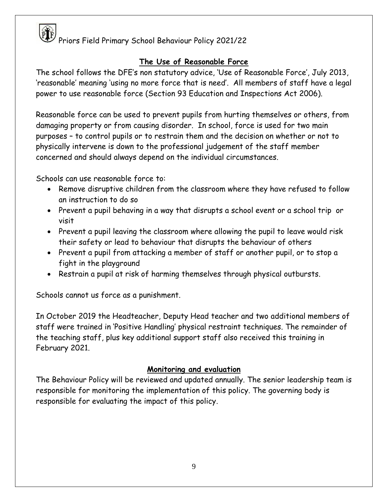#### **The Use of Reasonable Force**

The school follows the DFE's non statutory advice, 'Use of Reasonable Force', July 2013, 'reasonable' meaning 'using no more force that is need'. All members of staff have a legal power to use reasonable force (Section 93 Education and Inspections Act 2006).

Reasonable force can be used to prevent pupils from hurting themselves or others, from damaging property or from causing disorder. In school, force is used for two main purposes – to control pupils or to restrain them and the decision on whether or not to physically intervene is down to the professional judgement of the staff member concerned and should always depend on the individual circumstances.

Schools can use reasonable force to:

- Remove disruptive children from the classroom where they have refused to follow an instruction to do so
- Prevent a pupil behaving in a way that disrupts a school event or a school trip or visit
- Prevent a pupil leaving the classroom where allowing the pupil to leave would risk their safety or lead to behaviour that disrupts the behaviour of others
- Prevent a pupil from attacking a member of staff or another pupil, or to stop a fight in the playground
- Restrain a pupil at risk of harming themselves through physical outbursts.

Schools cannot us force as a punishment.

In October 2019 the Headteacher, Deputy Head teacher and two additional members of staff were trained in 'Positive Handling' physical restraint techniques. The remainder of the teaching staff, plus key additional support staff also received this training in February 2021.

#### **Monitoring and evaluation**

The Behaviour Policy will be reviewed and updated annually. The senior leadership team is responsible for monitoring the implementation of this policy. The governing body is responsible for evaluating the impact of this policy.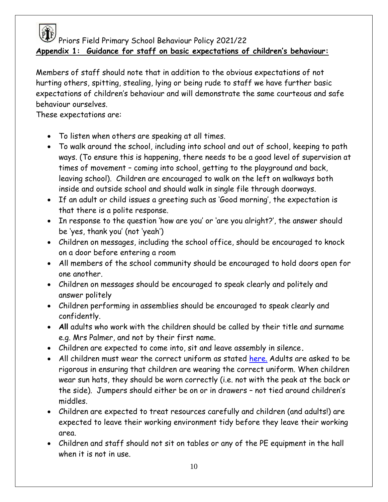

PTF<br>Priors Field Primary School Behaviour Policy 2021/22 **Appendix 1: Guidance for staff on basic expectations of children's behaviour:**

Members of staff should note that in addition to the obvious expectations of not hurting others, spitting, stealing, lying or being rude to staff we have further basic expectations of children's behaviour and will demonstrate the same courteous and safe behaviour ourselves.

These expectations are:

- To listen when others are speaking at all times.
- To walk around the school, including into school and out of school, keeping to path ways. (To ensure this is happening, there needs to be a good level of supervision at times of movement – coming into school, getting to the playground and back, leaving school). Children are encouraged to walk on the left on walkways both inside and outside school and should walk in single file through doorways.
- If an adult or child issues a greeting such as 'Good morning', the expectation is that there is a polite response.
- In response to the question 'how are you' or 'are you alright?', the answer should be 'yes, thank you' (not 'yeah')
- Children on messages, including the school office, should be encouraged to knock on a door before entering a room
- All members of the school community should be encouraged to hold doors open for one another.
- Children on messages should be encouraged to speak clearly and politely and answer politely
- Children performing in assemblies should be encouraged to speak clearly and confidently.
- **All** adults who work with the children should be called by their title and surname e.g. Mrs Palmer, and not by their first name.
- Children are expected to come into, sit and leave assembly in silence**.**
- All children must wear the correct uniform as stated [here.](https://www.priorsfieldprimary.com/_files/ugd/efc051_c7d193e7ebef4051a9c3172317b79aa7.pdf) Adults are asked to be rigorous in ensuring that children are wearing the correct uniform. When children wear sun hats, they should be worn correctly (i.e. not with the peak at the back or the side). Jumpers should either be on or in drawers – not tied around children's middles.
- Children are expected to treat resources carefully and children (and adults!) are expected to leave their working environment tidy before they leave their working area.
- Children and staff should not sit on tables or any of the PE equipment in the hall when it is not in use.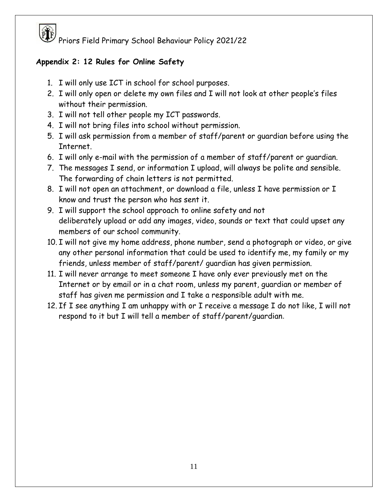#### **Appendix 2: 12 Rules for Online Safety**

- 1. I will only use ICT in school for school purposes.
- 2. I will only open or delete my own files and I will not look at other people's files without their permission.
- 3. I will not tell other people my ICT passwords.
- 4. I will not bring files into school without permission.
- 5. I will ask permission from a member of staff/parent or guardian before using the Internet.
- 6. I will only e-mail with the permission of a member of staff/parent or guardian.
- 7. The messages I send, or information I upload, will always be polite and sensible. The forwarding of chain letters is not permitted.
- 8. I will not open an attachment, or download a file, unless I have permission or I know and trust the person who has sent it.
- 9. I will support the school approach to online safety and not deliberately upload or add any images, video, sounds or text that could upset any members of our school community.
- 10. I will not give my home address, phone number, send a photograph or video, or give any other personal information that could be used to identify me, my family or my friends, unless member of staff/parent/ guardian has given permission.
- 11. I will never arrange to meet someone I have only ever previously met on the Internet or by email or in a chat room, unless my parent, guardian or member of staff has given me permission and I take a responsible adult with me.
- 12. If I see anything I am unhappy with or I receive a message I do not like, I will not respond to it but I will tell a member of staff/parent/guardian.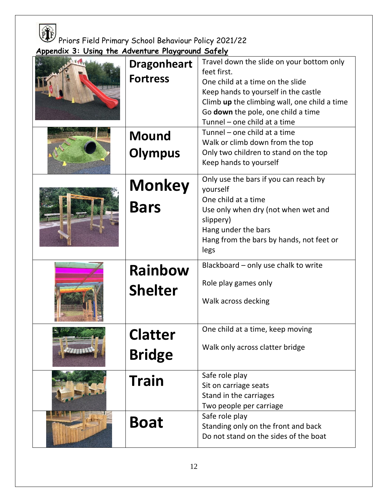

**Appendix 3: Using the Adventure Playground Safely**

| <b>Dragonheart</b><br><b>Fortress</b><br><b>Mound</b><br><b>Olympus</b> | Travel down the slide on your bottom only<br>feet first.<br>One child at a time on the slide<br>Keep hands to yourself in the castle<br>Climb up the climbing wall, one child a time<br>Go down the pole, one child a time<br>Tunnel - one child at a time<br>Tunnel - one child at a time<br>Walk or climb down from the top<br>Only two children to stand on the top<br>Keep hands to yourself |
|-------------------------------------------------------------------------|--------------------------------------------------------------------------------------------------------------------------------------------------------------------------------------------------------------------------------------------------------------------------------------------------------------------------------------------------------------------------------------------------|
| <b>Monkey</b><br><b>Bars</b>                                            | Only use the bars if you can reach by<br>yourself<br>One child at a time<br>Use only when dry (not when wet and<br>slippery)<br>Hang under the bars<br>Hang from the bars by hands, not feet or<br>legs                                                                                                                                                                                          |
| <b>Rainbow</b><br><b>Shelter</b>                                        | Blackboard - only use chalk to write<br>Role play games only<br>Walk across decking                                                                                                                                                                                                                                                                                                              |
| latter<br><b>Bridge</b>                                                 | One child at a time, keep moving<br>Walk only across clatter bridge                                                                                                                                                                                                                                                                                                                              |
| <b>Train</b>                                                            | Safe role play<br>Sit on carriage seats<br>Stand in the carriages<br>Two people per carriage                                                                                                                                                                                                                                                                                                     |
| <b>Boat</b>                                                             | Safe role play<br>Standing only on the front and back<br>Do not stand on the sides of the boat                                                                                                                                                                                                                                                                                                   |